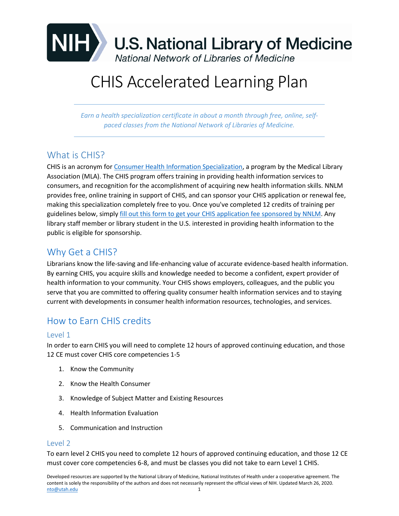

# CHIS Accelerated Learning Plan

*Earn a health specialization certificate in about a month through free, online, selfpaced classes from the National Network of Libraries of Medicine.* 

# What is CHIS?

CHIS is an acronym for [Consumer Health Information Specialization,](https://www.mlanet.org/p/cm/ld/fid=329) a program by the Medical Library Association (MLA). The CHIS program offers training in providing health information services to consumers, and recognition for the accomplishment of acquiring new health information skills. NNLM provides free, online training in support of CHIS, and can sponsor your CHIS application or renewal fee, making this specialization completely free to you. Once you've completed 12 credits of training per guidelines below, simply [fill out this form](https://nnlm.gov/gmr/funding/chis-sponsorship) to get your CHIS application fee sponsored by NNLM. Any library staff member or library student in the U.S. interested in providing health information to the public is eligible for sponsorship.

# [Why Get a CHIS?](https://nnlm.gov/national/guides/obtain-specialization/consumer-health-information-specialization#collapse9)

Librarians know the life-saving and life-enhancing value of accurate evidence-based health information. By earning CHIS, you acquire skills and knowledge needed to become a confident, expert provider of health information to your community. Your CHIS shows employers, colleagues, and the public you serve that you are committed to offering quality consumer health information services and to staying current with developments in consumer health information resources, technologies, and services.

# [How to Earn CHIS credits](https://nnlm.gov/national/guides/obtain-specialization/consumer-health-information-specialization#collapse7)

#### Level 1

In order to earn CHIS you will need to complete 12 hours of approved continuing education, and those 12 CE must cover CHIS core competencies 1-5

- 1. Know the Community
- 2. Know the Health Consumer
- 3. Knowledge of Subject Matter and Existing Resources
- 4. Health Information Evaluation
- 5. Communication and Instruction

#### Level 2

To earn level 2 CHIS you need to complete 12 hours of approved continuing education, and those 12 CE must cover core competencies 6-8, and must be classes you did not take to earn Level 1 CHIS.

Developed resources are supported by the National Library of Medicine, National Institutes of Health under a cooperative agreement. The content is solely the responsibility of the authors and does not necessarily represent the official views of NIH. Updated March 26, 2020. [nto@utah.edu](mailto:nto@utah.edu) 1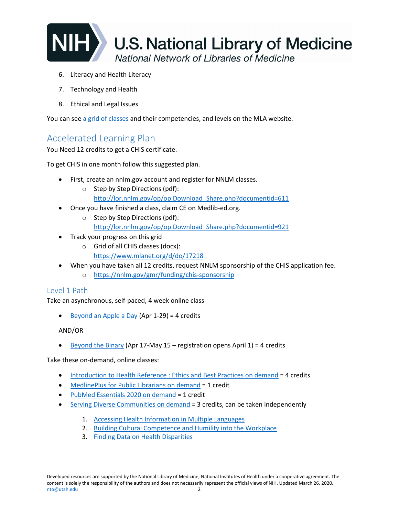![](_page_1_Picture_0.jpeg)

- 6. Literacy and Health Literacy
- 7. Technology and Health
- 8. Ethical and Legal Issues

You can see a [grid of classes](https://www.mlanet.org/p/cm/ld/fid=494) and their competencies, and levels on the MLA website.

## Accelerated Learning Plan

You Need 12 credits to get a CHIS certificate.

To get CHIS in one month follow this suggested plan.

- First, create an nnlm.gov account and register for NNLM classes.
	- o Step by Step Directions (pdf): [http://lor.nnlm.gov/op/op.Download\\_Share.php?documentid=611](http://lor.nnlm.gov/op/op.Download_Share.php?documentid=611)
- Once you have finished a class, claim CE on Medlib-ed.org.
	- o Step by Step Directions (pdf): [http://lor.nnlm.gov/op/op.Download\\_Share.php?documentid=921](http://lor.nnlm.gov/op/op.Download_Share.php?documentid=921)
- Track your progress on this grid
	- o Grid of all CHIS classes (docx): <https://www.mlanet.org/d/do/17218>
- When you have taken all 12 credits, request NNLM sponsorship of the CHIS application fee.
	- o <https://nnlm.gov/gmr/funding/chis-sponsorship>

#### Level 1 Path

Take an asynchronous, self-paced, 4 week online class

• [Beyond an Apple a Day](https://nnlm.gov/class/beyond-apple-providing-consumer-health-information-your-library/23699) (Apr 1-29) = 4 credits

#### AND/OR

[Beyond the Binary](https://nnlm.gov/class/beyond-binary-health-resources-sexual-and-gender-minorities/23701) (Apr 17-May 15 – registration opens April 1) = 4 credits

Take these on-demand, online classes:

- [Introduction to Health Reference : Ethics and Best Practices](https://nnlm.gov/class/introduction-health-reference-ethics-and-best-practices-demand/20801) on demand = 4 credits
- [MedlinePlus for Public Librarians on demand](https://nnlm.gov/class/medlineplus-public-librarians/16469) = 1 credit
- [PubMed Essentials 2020 on demand](https://nnlm.gov/class/pubmed-essentials-2020-demand/23191) = 1 credit
- [Serving Diverse Communities on demand](https://nnlm.gov/classes/serving-diverse-communities) = 3 credits, can be taken independently
	- 1. [Accessing Health Information in Multiple Languages](https://nnlm.gov/class/serving-diverse-communities-accessing-health-information-multiple-languages/8320)
	- 2. [Building Cultural Competence and Humility into the Workplace](https://nnlm.gov/class/serving-diverse-communities-building-cultural-competence-and-humility-workplace/8880)
	- 3. [Finding Data on Health Disparities](https://nnlm.gov/class/serving-diverse-communities-finding-data-health-disparities/8321)